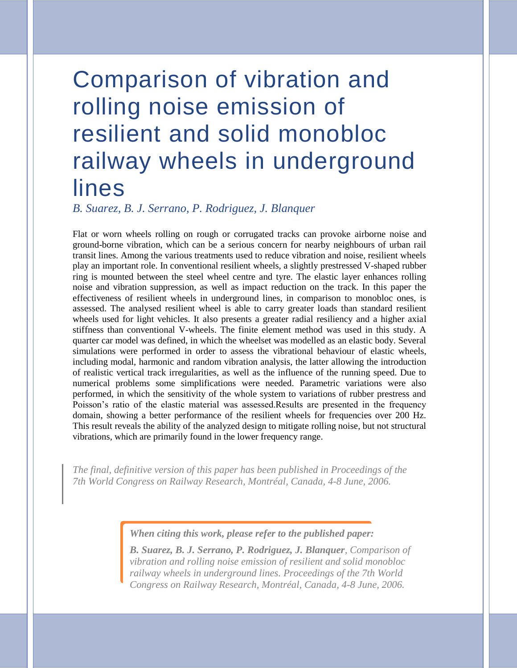# Comparison of vibration and rolling noise emission of resilient and solid monobloc railway wheels in underground lines

*B. Suarez, B. J. Serrano, P. Rodriguez, J. Blanquer*

Flat or worn wheels rolling on rough or corrugated tracks can provoke airborne noise and ground-borne vibration, which can be a serious concern for nearby neighbours of urban rail transit lines. Among the various treatments used to reduce vibration and noise, resilient wheels play an important role. In conventional resilient wheels, a slightly prestressed V-shaped rubber ring is mounted between the steel wheel centre and tyre. The elastic layer enhances rolling noise and vibration suppression, as well as impact reduction on the track. In this paper the effectiveness of resilient wheels in underground lines, in comparison to monobloc ones, is assessed. The analysed resilient wheel is able to carry greater loads than standard resilient wheels used for light vehicles. It also presents a greater radial resiliency and a higher axial stiffness than conventional V-wheels. The finite element method was used in this study. A quarter car model was defined, in which the wheelset was modelled as an elastic body. Several simulations were performed in order to assess the vibrational behaviour of elastic wheels, including modal, harmonic and random vibration analysis, the latter allowing the introduction of realistic vertical track irregularities, as well as the influence of the running speed. Due to numerical problems some simplifications were needed. Parametric variations were also performed, in which the sensitivity of the whole system to variations of rubber prestress and Poisson's ratio of the elastic material was assessed.Results are presented in the frequency domain, showing a better performance of the resilient wheels for frequencies over 200 Hz. This result reveals the ability of the analyzed design to mitigate rolling noise, but not structural vibrations, which are primarily found in the lower frequency range.

*The final, definitive version of this paper has been published in Proceedings of the 7th World Congress on Railway Research, Montréal, Canada, 4-8 June, 2006.*

*When citing this work, please refer to the published paper:* 

*B. Suarez, B. J. Serrano, P. Rodriguez, J. Blanquer, Comparison of vibration and rolling noise emission of resilient and solid monobloc railway wheels in underground lines. Proceedings of the 7th World Congress on Railway Research, Montréal, Canada, 4-8 June, 2006.*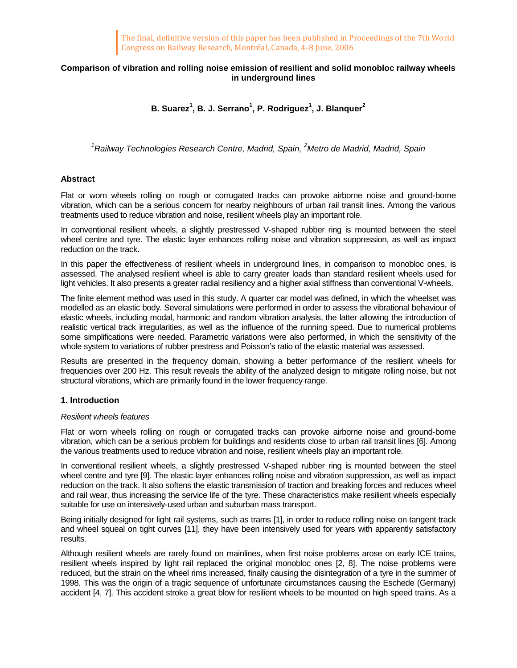# **Comparison of vibration and rolling noise emission of resilient and solid monobloc railway wheels in underground lines**

# **B. Suarez<sup>1</sup> , B. J. Serrano<sup>1</sup> , P. Rodriguez<sup>1</sup> , J. Blanquer<sup>2</sup>**

*<sup>1</sup>Railway Technologies Research Centre, Madrid, Spain, <sup>2</sup>Metro de Madrid, Madrid, Spain*

## **Abstract**

Flat or worn wheels rolling on rough or corrugated tracks can provoke airborne noise and ground-borne vibration, which can be a serious concern for nearby neighbours of urban rail transit lines. Among the various treatments used to reduce vibration and noise, resilient wheels play an important role.

In conventional resilient wheels, a slightly prestressed V-shaped rubber ring is mounted between the steel wheel centre and tyre. The elastic layer enhances rolling noise and vibration suppression, as well as impact reduction on the track.

In this paper the effectiveness of resilient wheels in underground lines, in comparison to monobloc ones, is assessed. The analysed resilient wheel is able to carry greater loads than standard resilient wheels used for light vehicles. It also presents a greater radial resiliency and a higher axial stiffness than conventional V-wheels.

The finite element method was used in this study. A quarter car model was defined, in which the wheelset was modelled as an elastic body. Several simulations were performed in order to assess the vibrational behaviour of elastic wheels, including modal, harmonic and random vibration analysis, the latter allowing the introduction of realistic vertical track irregularities, as well as the influence of the running speed. Due to numerical problems some simplifications were needed. Parametric variations were also performed, in which the sensitivity of the whole system to variations of rubber prestress and Poisson's ratio of the elastic material was assessed.

Results are presented in the frequency domain, showing a better performance of the resilient wheels for frequencies over 200 Hz. This result reveals the ability of the analyzed design to mitigate rolling noise, but not structural vibrations, which are primarily found in the lower frequency range.

## **1. Introduction**

## *Resilient wheels features*

Flat or worn wheels rolling on rough or corrugated tracks can provoke airborne noise and ground-borne vibration, which can be a serious problem for buildings and residents close to urban rail transit lines [6]. Among the various treatments used to reduce vibration and noise, resilient wheels play an important role.

In conventional resilient wheels, a slightly prestressed V-shaped rubber ring is mounted between the steel wheel centre and tyre [9]. The elastic layer enhances rolling noise and vibration suppression, as well as impact reduction on the track. It also softens the elastic transmission of traction and breaking forces and reduces wheel and rail wear, thus increasing the service life of the tyre. These characteristics make resilient wheels especially suitable for use on intensively-used urban and suburban mass transport.

Being initially designed for light rail systems, such as trams [1], in order to reduce rolling noise on tangent track and wheel squeal on tight curves [11], they have been intensively used for years with apparently satisfactory results.

Although resilient wheels are rarely found on mainlines, when first noise problems arose on early ICE trains, resilient wheels inspired by light rail replaced the original monobloc ones [2, 8]. The noise problems were reduced, but the strain on the wheel rims increased, finally causing the disintegration of a tyre in the summer of 1998. This was the origin of a tragic sequence of unfortunate circumstances causing the Eschede (Germany) accident [4, 7]. This accident stroke a great blow for resilient wheels to be mounted on high speed trains. As a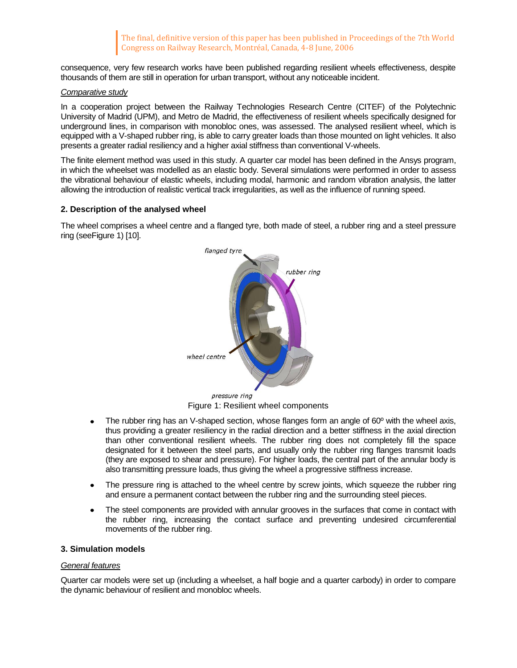consequence, very few research works have been published regarding resilient wheels effectiveness, despite thousands of them are still in operation for urban transport, without any noticeable incident.

## *Comparative study*

In a cooperation project between the Railway Technologies Research Centre (CITEF) of the Polytechnic University of Madrid (UPM), and Metro de Madrid, the effectiveness of resilient wheels specifically designed for underground lines, in comparison with monobloc ones, was assessed. The analysed resilient wheel, which is equipped with a V-shaped rubber ring, is able to carry greater loads than those mounted on light vehicles. It also presents a greater radial resiliency and a higher axial stiffness than conventional V-wheels.

The finite element method was used in this study. A quarter car model has been defined in the Ansys program, in which the wheelset was modelled as an elastic body. Several simulations were performed in order to assess the vibrational behaviour of elastic wheels, including modal, harmonic and random vibration analysis, the latter allowing the introduction of realistic vertical track irregularities, as well as the influence of running speed.

# **2. Description of the analysed wheel**

The wheel comprises a wheel centre and a flanged tyre, both made of steel, a rubber ring and a steel pressure ring (se[eFigure](#page-2-0) 1) [10].



Figure 1: Resilient wheel components

- <span id="page-2-0"></span>The rubber ring has an V-shaped section, whose flanges form an angle of 60º with the wheel axis, thus providing a greater resiliency in the radial direction and a better stiffness in the axial direction than other conventional resilient wheels. The rubber ring does not completely fill the space designated for it between the steel parts, and usually only the rubber ring flanges transmit loads (they are exposed to shear and pressure). For higher loads, the central part of the annular body is also transmitting pressure loads, thus giving the wheel a progressive stiffness increase.
- The pressure ring is attached to the wheel centre by screw joints, which squeeze the rubber ring and ensure a permanent contact between the rubber ring and the surrounding steel pieces.
- The steel components are provided with annular grooves in the surfaces that come in contact with the rubber ring, increasing the contact surface and preventing undesired circumferential movements of the rubber ring.

# **3. Simulation models**

## *General features*

Quarter car models were set up (including a wheelset, a half bogie and a quarter carbody) in order to compare the dynamic behaviour of resilient and monobloc wheels.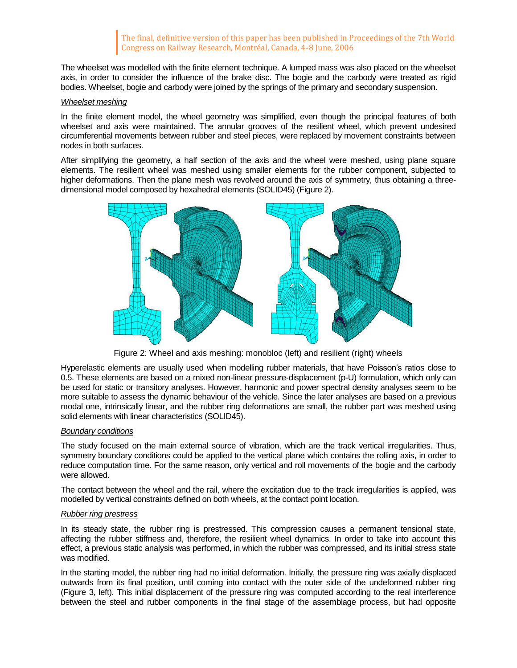The wheelset was modelled with the finite element technique. A lumped mass was also placed on the wheelset axis, in order to consider the influence of the brake disc. The bogie and the carbody were treated as rigid bodies. Wheelset, bogie and carbody were joined by the springs of the primary and secondary suspension.

## *Wheelset meshing*

In the finite element model, the wheel geometry was simplified, even though the principal features of both wheelset and axis were maintained. The annular grooves of the resilient wheel, which prevent undesired circumferential movements between rubber and steel pieces, were replaced by movement constraints between nodes in both surfaces.

After simplifying the geometry, a half section of the axis and the wheel were meshed, using plane square elements. The resilient wheel was meshed using smaller elements for the rubber component, subjected to higher deformations. Then the plane mesh was revolved around the axis of symmetry, thus obtaining a threedimensional model composed by hexahedral elements (SOLID45) [\(Figure](#page-3-0) 2).



Figure 2: Wheel and axis meshing: monobloc (left) and resilient (right) wheels

<span id="page-3-0"></span>Hyperelastic elements are usually used when modelling rubber materials, that have Poisson's ratios close to 0.5. These elements are based on a mixed non-linear pressure-displacement (p-U) formulation, which only can be used for static or transitory analyses. However, harmonic and power spectral density analyses seem to be more suitable to assess the dynamic behaviour of the vehicle. Since the later analyses are based on a previous modal one, intrinsically linear, and the rubber ring deformations are small, the rubber part was meshed using solid elements with linear characteristics (SOLID45).

# *Boundary conditions*

The study focused on the main external source of vibration, which are the track vertical irregularities. Thus, symmetry boundary conditions could be applied to the vertical plane which contains the rolling axis, in order to reduce computation time. For the same reason, only vertical and roll movements of the bogie and the carbody were allowed.

The contact between the wheel and the rail, where the excitation due to the track irregularities is applied, was modelled by vertical constraints defined on both wheels, at the contact point location.

## *Rubber ring prestress*

In its steady state, the rubber ring is prestressed. This compression causes a permanent tensional state, affecting the rubber stiffness and, therefore, the resilient wheel dynamics. In order to take into account this effect, a previous static analysis was performed, in which the rubber was compressed, and its initial stress state was modified.

In the starting model, the rubber ring had no initial deformation. Initially, the pressure ring was axially displaced outwards from its final position, until coming into contact with the outer side of the undeformed rubber ring [\(Figure](#page-4-0) 3, left). This initial displacement of the pressure ring was computed according to the real interference between the steel and rubber components in the final stage of the assemblage process, but had opposite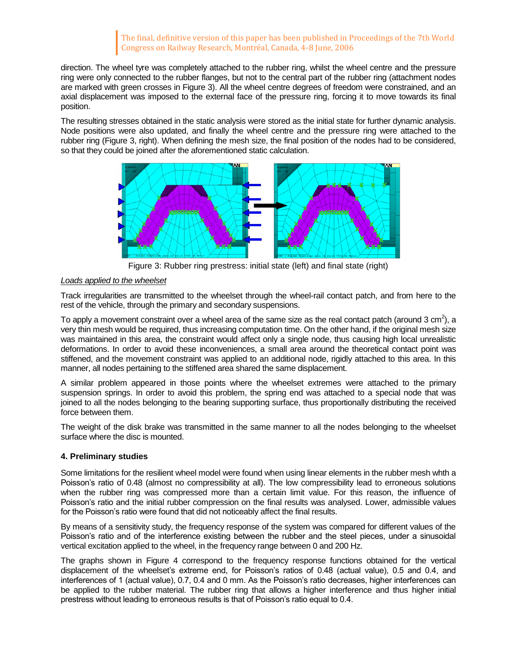direction. The wheel tyre was completely attached to the rubber ring, whilst the wheel centre and the pressure ring were only connected to the rubber flanges, but not to the central part of the rubber ring (attachment nodes are marked with green crosses in [Figure](#page-4-0) 3). All the wheel centre degrees of freedom were constrained, and an axial displacement was imposed to the external face of the pressure ring, forcing it to move towards its final position.

The resulting stresses obtained in the static analysis were stored as the initial state for further dynamic analysis. Node positions were also updated, and finally the wheel centre and the pressure ring were attached to the rubber ring [\(Figure](#page-4-0) 3, right). When defining the mesh size, the final position of the nodes had to be considered, so that they could be joined after the aforementioned static calculation.



Figure 3: Rubber ring prestress: initial state (left) and final state (right)

# <span id="page-4-0"></span>*Loads applied to the wheelset*

Track irregularities are transmitted to the wheelset through the wheel-rail contact patch, and from here to the rest of the vehicle, through the primary and secondary suspensions.

To apply a movement constraint over a wheel area of the same size as the real contact patch (around 3 cm<sup>2</sup>), a very thin mesh would be required, thus increasing computation time. On the other hand, if the original mesh size was maintained in this area, the constraint would affect only a single node, thus causing high local unrealistic deformations. In order to avoid these inconveniences, a small area around the theoretical contact point was stiffened, and the movement constraint was applied to an additional node, rigidly attached to this area. In this manner, all nodes pertaining to the stiffened area shared the same displacement.

A similar problem appeared in those points where the wheelset extremes were attached to the primary suspension springs. In order to avoid this problem, the spring end was attached to a special node that was joined to all the nodes belonging to the bearing supporting surface, thus proportionally distributing the received force between them.

The weight of the disk brake was transmitted in the same manner to all the nodes belonging to the wheelset surface where the disc is mounted.

# **4. Preliminary studies**

Some limitations for the resilient wheel model were found when using linear elements in the rubber mesh whth a Poisson's ratio of 0.48 (almost no compressibility at all). The low compressibility lead to erroneous solutions when the rubber ring was compressed more than a certain limit value. For this reason, the influence of Poisson's ratio and the initial rubber compression on the final results was analysed. Lower, admissible values for the Poisson's ratio were found that did not noticeably affect the final results.

By means of a sensitivity study, the frequency response of the system was compared for different values of the Poisson's ratio and of the interference existing between the rubber and the steel pieces, under a sinusoidal vertical excitation applied to the wheel, in the frequency range between 0 and 200 Hz.

The graphs shown in [Figure](#page-5-0) 4 correspond to the frequency response functions obtained for the vertical displacement of the wheelset's extreme end, for Poisson's ratios of 0.48 (actual value), 0.5 and 0.4, and interferences of 1 (actual value), 0.7, 0.4 and 0 mm. As the Poisson's ratio decreases, higher interferences can be applied to the rubber material. The rubber ring that allows a higher interference and thus higher initial prestress without leading to erroneous results is that of Poisson's ratio equal to 0.4.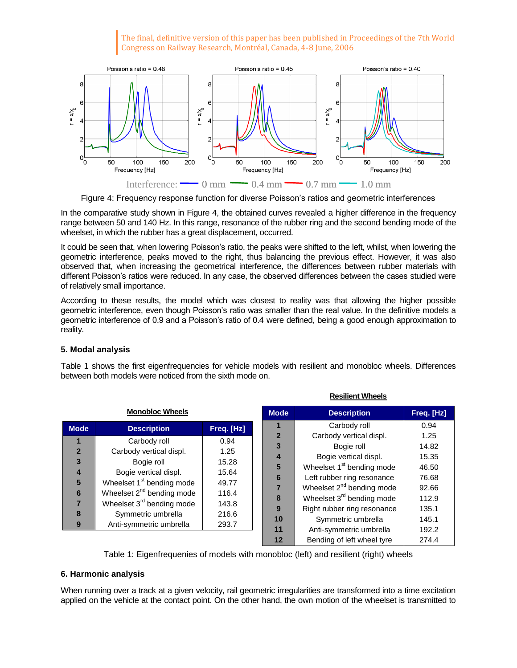

Figure 4: Frequency response function for diverse Poisson's ratios and geometric interferences

<span id="page-5-0"></span>In the comparative study shown in [Figure](#page-5-0) 4, the obtained curves revealed a higher difference in the frequency range between 50 and 140 Hz. In this range, resonance of the rubber ring and the second bending mode of the wheelset, in which the rubber has a great displacement, occurred.

It could be seen that, when lowering Poisson's ratio, the peaks were shifted to the left, whilst, when lowering the geometric interference, peaks moved to the right, thus balancing the previous effect. However, it was also observed that, when increasing the geometrical interference, the differences between rubber materials with different Poisson's ratios were reduced. In any case, the observed differences between the cases studied were of relatively small importance.

According to these results, the model which was closest to reality was that allowing the higher possible geometric interference, even though Poisson's ratio was smaller than the real value. In the definitive models a geometric interference of 0.9 and a Poisson's ratio of 0.4 were defined, being a good enough approximation to reality.

# **5. Modal analysis**

Table 1 shows the first eigenfrequencies for vehicle models with resilient and monobloc wheels. Differences between both models were noticed from the sixth mode on.

**Resilient Wheels**

|                                       |                                                                                                                                                                   | נו פאוויסווג וויסווכפו                    |                             |                                                                                                                                                                                       |                                                    |
|---------------------------------------|-------------------------------------------------------------------------------------------------------------------------------------------------------------------|-------------------------------------------|-----------------------------|---------------------------------------------------------------------------------------------------------------------------------------------------------------------------------------|----------------------------------------------------|
| <b>Monobloc Wheels</b>                |                                                                                                                                                                   |                                           | <b>Mode</b>                 | <b>Description</b>                                                                                                                                                                    | Freq. [Hz]                                         |
| <b>Mode</b>                           | <b>Description</b>                                                                                                                                                | Freq. [Hz]                                |                             | Carbody roll                                                                                                                                                                          | 0.94                                               |
| $\overline{2}$<br>3<br>$\overline{4}$ | Carbody roll<br>Carbody vertical displ.<br>Bogie roll<br>Bogie vertical displ.                                                                                    | 0.94<br>1.25<br>15.28<br>15.64            | $\mathbf{2}$<br>3<br>4<br>5 | Carbody vertical displ.<br>Bogie roll<br>Bogie vertical displ.<br>Wheelset 1 <sup>st</sup> bending mode                                                                               | 1.25<br>14.82<br>15.35<br>46.50                    |
| 5<br>6<br>8<br>9                      | Wheelset 1 <sup>st</sup> bending mode<br>Wheelset $2^{nd}$ bending mode<br>Wheelset 3 <sup>rd</sup> bending mode<br>Symmetric umbrella<br>Anti-symmetric umbrella | 49.77<br>116.4<br>143.8<br>216.6<br>293.7 | 6<br>8<br>9<br>10<br>11     | Left rubber ring resonance<br>Wheelset $2^{nd}$ bending mode<br>Wheelset 3 <sup>rd</sup> bending mode<br>Right rubber ring resonance<br>Symmetric umbrella<br>Anti-symmetric umbrella | 76.68<br>92.66<br>112.9<br>135.1<br>145.1<br>192.2 |
|                                       |                                                                                                                                                                   |                                           | 12                          | Bending of left wheel tyre                                                                                                                                                            | 274.4                                              |

Table 1: Eigenfrequenies of models with monobloc (left) and resilient (right) wheels

# **6. Harmonic analysis**

When running over a track at a given velocity, rail geometric irregularities are transformed into a time excitation applied on the vehicle at the contact point. On the other hand, the own motion of the wheelset is transmitted to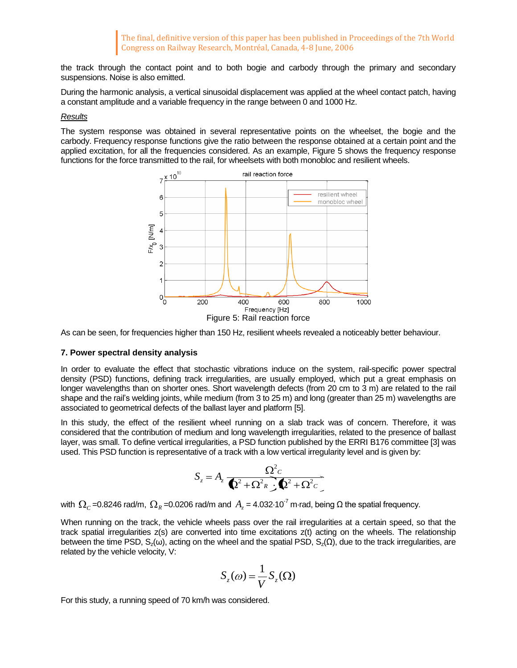the track through the contact point and to both bogie and carbody through the primary and secondary suspensions. Noise is also emitted.

During the harmonic analysis, a vertical sinusoidal displacement was applied at the wheel contact patch, having a constant amplitude and a variable frequency in the range between 0 and 1000 Hz.

## *Results*

The system response was obtained in several representative points on the wheelset, the bogie and the carbody. Frequency response functions give the ratio between the response obtained at a certain point and the applied excitation, for all the frequencies considered. As an example, [Figure](#page-6-0) 5 shows the frequency response functions for the force transmitted to the rail, for wheelsets with both monobloc and resilient wheels.



<span id="page-6-0"></span>As can be seen, for frequencies higher than 150 Hz, resilient wheels revealed a noticeably better behaviour.

#### **7. Power spectral density analysis**

In order to evaluate the effect that stochastic vibrations induce on the system, rail-specific power spectral density (PSD) functions, defining track irregularities, are usually employed, which put a great emphasis on longer wavelengths than on shorter ones. Short wavelength defects (from 20 cm to 3 m) are related to the rail shape and the rail's welding joints, while medium (from 3 to 25 m) and long (greater than 25 m) wavelengths are associated to geometrical defects of the ballast layer and platform [5].

In this study, the effect of the resilient wheel running on a slab track was of concern. Therefore, it was considered that the contribution of medium and long wavelength irregularities, related to the presence of ballast layer, was small. To define vertical irregularities, a PSD function published by the ERRI B176 committee [3] was used. This PSD function is representative of a track with a low vertical irregularity level and is given by:

$$
S_z = A_z \frac{\Omega^2 c}{\Phi^2 + \Omega^2 R \cdot \Phi^2 + \Omega^2 c}
$$

with  $\Omega_c$ =0.8246 rad/m,  $\Omega_R$ =0.0206 rad/m and  $A_z$ =4.032 $\cdot$ 10<sup>-7</sup> m·rad, being Ω the spatial frequency.

When running on the track, the vehicle wheels pass over the rail irregularities at a certain speed, so that the track spatial irregularities z(s) are converted into time excitations z(t) acting on the wheels. The relationship between the time PSD,  $S_z(\omega)$ , acting on the wheel and the spatial PSD,  $S_z(\Omega)$ , due to the track irregularities, are related by the vehicle velocity, V:

$$
S_z(\omega) = \frac{1}{V} S_z(\Omega)
$$

For this study, a running speed of 70 km/h was considered.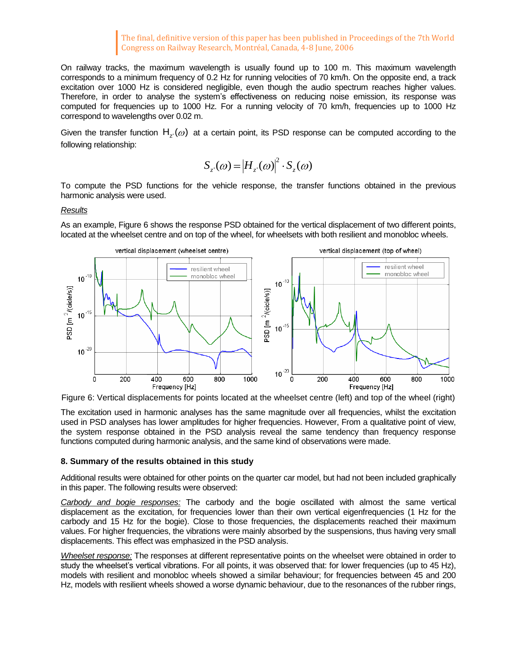On railway tracks, the maximum wavelength is usually found up to 100 m. This maximum wavelength corresponds to a minimum frequency of 0.2 Hz for running velocities of 70 km/h. On the opposite end, a track excitation over 1000 Hz is considered negligible, even though the audio spectrum reaches higher values. Therefore, in order to analyse the system's effectiveness on reducing noise emission, its response was computed for frequencies up to 1000 Hz. For a running velocity of 70 km/h, frequencies up to 1000 Hz correspond to wavelengths over 0.02 m.

Given the transfer function  $H_{z'}(\omega)$  at a certain point, its PSD response can be computed according to the following relationship:

$$
S_{z'}(\omega) = |H_{z'}(\omega)|^2 \cdot S_{z}(\omega)
$$

To compute the PSD functions for the vehicle response, the transfer functions obtained in the previous harmonic analysis were used.

### *Results*

As an example[, Figure](#page-7-0) 6 shows the response PSD obtained for the vertical displacement of two different points, located at the wheelset centre and on top of the wheel, for wheelsets with both resilient and monobloc wheels.



<span id="page-7-0"></span>Figure 6: Vertical displacements for points located at the wheelset centre (left) and top of the wheel (right)

The excitation used in harmonic analyses has the same magnitude over all frequencies, whilst the excitation used in PSD analyses has lower amplitudes for higher frequencies. However, From a qualitative point of view, the system response obtained in the PSD analysis reveal the same tendency than frequency response functions computed during harmonic analysis, and the same kind of observations were made.

## **8. Summary of the results obtained in this study**

Additional results were obtained for other points on the quarter car model, but had not been included graphically in this paper. The following results were observed:

*Carbody and bogie responses:* The carbody and the bogie oscillated with almost the same vertical displacement as the excitation, for frequencies lower than their own vertical eigenfrequencies (1 Hz for the carbody and 15 Hz for the bogie). Close to those frequencies, the displacements reached their maximum values. For higher frequencies, the vibrations were mainly absorbed by the suspensions, thus having very small displacements. This effect was emphasized in the PSD analysis.

*Wheelset response:* The responses at different representative points on the wheelset were obtained in order to study the wheelset's vertical vibrations. For all points, it was observed that: for lower frequencies (up to 45 Hz), models with resilient and monobloc wheels showed a similar behaviour; for frequencies between 45 and 200 Hz, models with resilient wheels showed a worse dynamic behaviour, due to the resonances of the rubber rings,